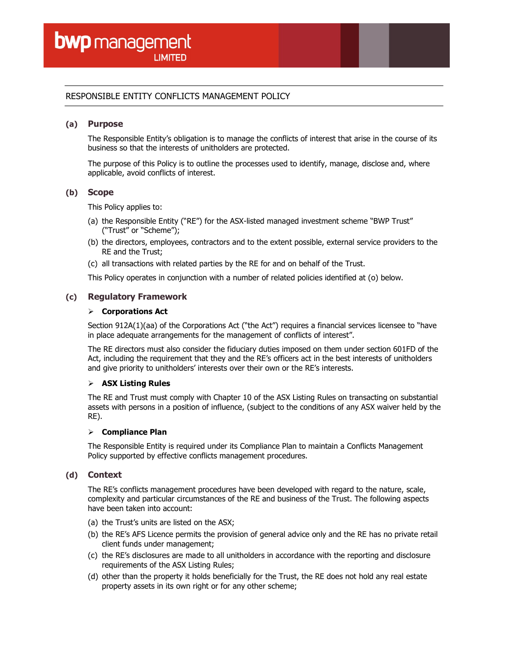# RESPONSIBLE ENTITY CONFLICTS MANAGEMENT POLICY

### (a) Purpose

The Responsible Entity's obligation is to manage the conflicts of interest that arise in the course of its business so that the interests of unitholders are protected.

The purpose of this Policy is to outline the processes used to identify, manage, disclose and, where applicable, avoid conflicts of interest.

### (b) Scope

This Policy applies to:

- (a) the Responsible Entity ("RE") for the ASX-listed managed investment scheme "BWP Trust" ("Trust" or "Scheme");
- (b) the directors, employees, contractors and to the extent possible, external service providers to the RE and the Trust;
- (c) all transactions with related parties by the RE for and on behalf of the Trust.

This Policy operates in conjunction with a number of related policies identified at (o) below.

# (c) Regulatory Framework

#### $\triangleright$  Corporations Act

Section 912A(1)(aa) of the Corporations Act ("the Act") requires a financial services licensee to "have in place adequate arrangements for the management of conflicts of interest".

The RE directors must also consider the fiduciary duties imposed on them under section 601FD of the Act, including the requirement that they and the RE's officers act in the best interests of unitholders and give priority to unitholders' interests over their own or the RE's interests.

#### $\triangleright$  ASX Listing Rules

The RE and Trust must comply with Chapter 10 of the ASX Listing Rules on transacting on substantial assets with persons in a position of influence, (subject to the conditions of any ASX waiver held by the RE).

#### $\triangleright$  Compliance Plan

The Responsible Entity is required under its Compliance Plan to maintain a Conflicts Management Policy supported by effective conflicts management procedures.

# (d) Context

The RE's conflicts management procedures have been developed with regard to the nature, scale, complexity and particular circumstances of the RE and business of the Trust. The following aspects have been taken into account:

- (a) the Trust's units are listed on the ASX;
- (b) the RE's AFS Licence permits the provision of general advice only and the RE has no private retail client funds under management;
- (c) the RE's disclosures are made to all unitholders in accordance with the reporting and disclosure requirements of the ASX Listing Rules;
- (d) other than the property it holds beneficially for the Trust, the RE does not hold any real estate property assets in its own right or for any other scheme;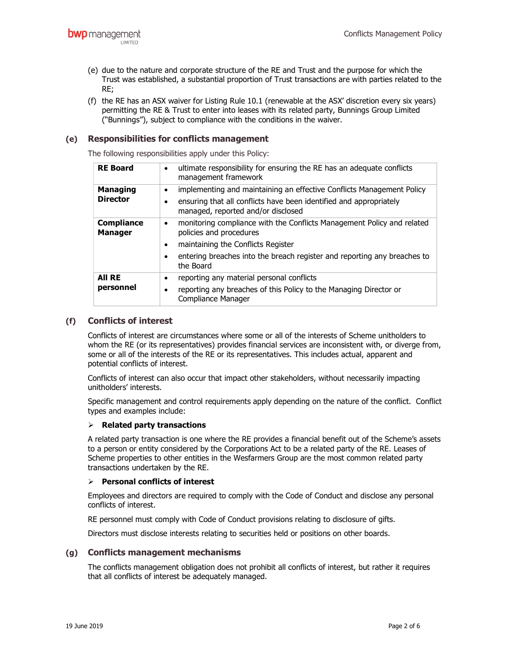- (e) due to the nature and corporate structure of the RE and Trust and the purpose for which the Trust was established, a substantial proportion of Trust transactions are with parties related to the RE;
- (f) the RE has an ASX waiver for Listing Rule 10.1 (renewable at the ASX' discretion every six years) permitting the RE & Trust to enter into leases with its related party, Bunnings Group Limited ("Bunnings"), subject to compliance with the conditions in the waiver.

# (e) Responsibilities for conflicts management

The following responsibilities apply under this Policy:

| <b>RE Board</b>                     | ultimate responsibility for ensuring the RE has an adequate conflicts<br>$\bullet$<br>management framework                                                                                                                                                      |
|-------------------------------------|-----------------------------------------------------------------------------------------------------------------------------------------------------------------------------------------------------------------------------------------------------------------|
| <b>Managing</b><br><b>Director</b>  | implementing and maintaining an effective Conflicts Management Policy<br>٠<br>ensuring that all conflicts have been identified and appropriately<br>managed, reported and/or disclosed                                                                          |
| <b>Compliance</b><br><b>Manager</b> | monitoring compliance with the Conflicts Management Policy and related<br>$\bullet$<br>policies and procedures<br>maintaining the Conflicts Register<br>$\bullet$<br>entering breaches into the breach register and reporting any breaches to<br>٠<br>the Board |
| All RE<br>personnel                 | reporting any material personal conflicts<br>$\bullet$<br>reporting any breaches of this Policy to the Managing Director or<br>٠<br>Compliance Manager                                                                                                          |

# (f) Conflicts of interest

Conflicts of interest are circumstances where some or all of the interests of Scheme unitholders to whom the RE (or its representatives) provides financial services are inconsistent with, or diverge from, some or all of the interests of the RE or its representatives. This includes actual, apparent and potential conflicts of interest.

Conflicts of interest can also occur that impact other stakeholders, without necessarily impacting unitholders' interests.

Specific management and control requirements apply depending on the nature of the conflict. Conflict types and examples include:

#### $\triangleright$  Related party transactions

A related party transaction is one where the RE provides a financial benefit out of the Scheme's assets to a person or entity considered by the Corporations Act to be a related party of the RE. Leases of Scheme properties to other entities in the Wesfarmers Group are the most common related party transactions undertaken by the RE.

#### $\triangleright$  Personal conflicts of interest

Employees and directors are required to comply with the Code of Conduct and disclose any personal conflicts of interest.

RE personnel must comply with Code of Conduct provisions relating to disclosure of gifts.

Directors must disclose interests relating to securities held or positions on other boards.

# (g) Conflicts management mechanisms

The conflicts management obligation does not prohibit all conflicts of interest, but rather it requires that all conflicts of interest be adequately managed.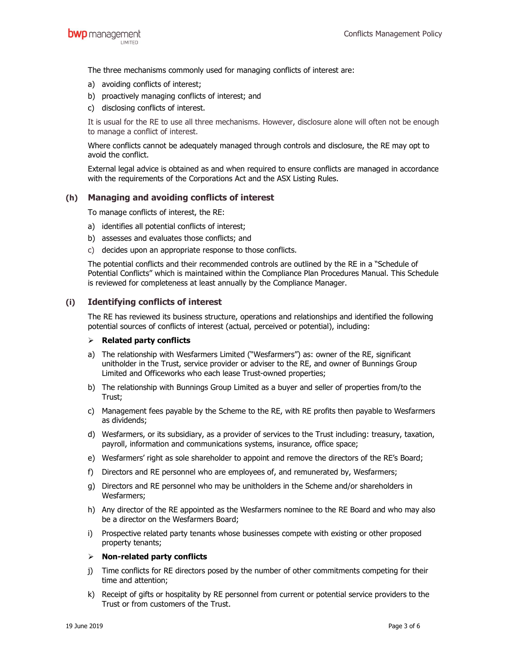The three mechanisms commonly used for managing conflicts of interest are:

- a) avoiding conflicts of interest;
- b) proactively managing conflicts of interest; and
- c) disclosing conflicts of interest.

It is usual for the RE to use all three mechanisms. However, disclosure alone will often not be enough to manage a conflict of interest.

Where conflicts cannot be adequately managed through controls and disclosure, the RE may opt to avoid the conflict.

External legal advice is obtained as and when required to ensure conflicts are managed in accordance with the requirements of the Corporations Act and the ASX Listing Rules.

# (h) Managing and avoiding conflicts of interest

To manage conflicts of interest, the RE:

- a) identifies all potential conflicts of interest;
- b) assesses and evaluates those conflicts; and
- c) decides upon an appropriate response to those conflicts.

The potential conflicts and their recommended controls are outlined by the RE in a "Schedule of Potential Conflicts" which is maintained within the Compliance Plan Procedures Manual. This Schedule is reviewed for completeness at least annually by the Compliance Manager.

# (i) Identifying conflicts of interest

The RE has reviewed its business structure, operations and relationships and identified the following potential sources of conflicts of interest (actual, perceived or potential), including:

# $\triangleright$  Related party conflicts

- a) The relationship with Wesfarmers Limited ("Wesfarmers") as: owner of the RE, significant unitholder in the Trust, service provider or adviser to the RE, and owner of Bunnings Group Limited and Officeworks who each lease Trust-owned properties;
- b) The relationship with Bunnings Group Limited as a buyer and seller of properties from/to the Trust;
- c) Management fees payable by the Scheme to the RE, with RE profits then payable to Wesfarmers as dividends;
- d) Wesfarmers, or its subsidiary, as a provider of services to the Trust including: treasury, taxation, payroll, information and communications systems, insurance, office space;
- e) Wesfarmers' right as sole shareholder to appoint and remove the directors of the RE's Board;
- f) Directors and RE personnel who are employees of, and remunerated by, Wesfarmers;
- g) Directors and RE personnel who may be unitholders in the Scheme and/or shareholders in Wesfarmers;
- h) Any director of the RE appointed as the Wesfarmers nominee to the RE Board and who may also be a director on the Wesfarmers Board;
- i) Prospective related party tenants whose businesses compete with existing or other proposed property tenants;

#### $\triangleright$  Non-related party conflicts

- j) Time conflicts for RE directors posed by the number of other commitments competing for their time and attention;
- k) Receipt of gifts or hospitality by RE personnel from current or potential service providers to the Trust or from customers of the Trust.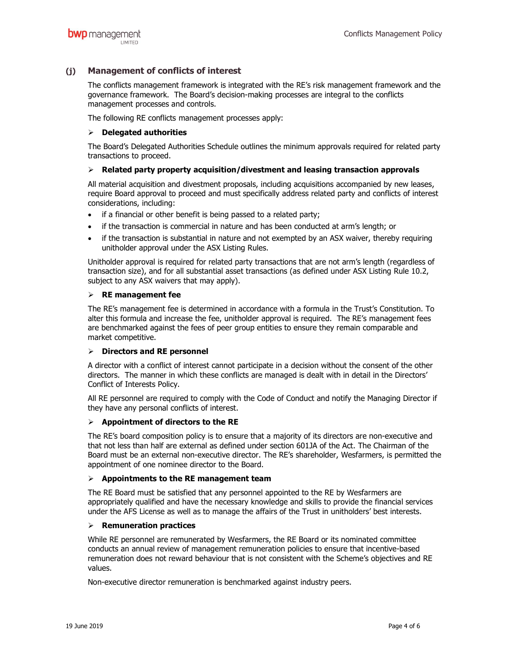# (j) Management of conflicts of interest

The conflicts management framework is integrated with the RE's risk management framework and the governance framework. The Board's decision-making processes are integral to the conflicts management processes and controls.

The following RE conflicts management processes apply:

# $\triangleright$  Delegated authorities

The Board's Delegated Authorities Schedule outlines the minimum approvals required for related party transactions to proceed.

# $\triangleright$  Related party property acquisition/divestment and leasing transaction approvals

All material acquisition and divestment proposals, including acquisitions accompanied by new leases, require Board approval to proceed and must specifically address related party and conflicts of interest considerations, including:

- if a financial or other benefit is being passed to a related party;
- if the transaction is commercial in nature and has been conducted at arm's length; or
- if the transaction is substantial in nature and not exempted by an ASX waiver, thereby requiring unitholder approval under the ASX Listing Rules.

Unitholder approval is required for related party transactions that are not arm's length (regardless of transaction size), and for all substantial asset transactions (as defined under ASX Listing Rule 10.2, subject to any ASX waivers that may apply).

# $\triangleright$  RE management fee

The RE's management fee is determined in accordance with a formula in the Trust's Constitution. To alter this formula and increase the fee, unitholder approval is required. The RE's management fees are benchmarked against the fees of peer group entities to ensure they remain comparable and market competitive.

# $\triangleright$  Directors and RE personnel

A director with a conflict of interest cannot participate in a decision without the consent of the other directors. The manner in which these conflicts are managed is dealt with in detail in the Directors' Conflict of Interests Policy.

All RE personnel are required to comply with the Code of Conduct and notify the Managing Director if they have any personal conflicts of interest.

# $\triangleright$  Appointment of directors to the RE

The RE's board composition policy is to ensure that a majority of its directors are non-executive and that not less than half are external as defined under section 601JA of the Act. The Chairman of the Board must be an external non-executive director. The RE's shareholder, Wesfarmers, is permitted the appointment of one nominee director to the Board.

# $\triangleright$  Appointments to the RE management team

The RE Board must be satisfied that any personnel appointed to the RE by Wesfarmers are appropriately qualified and have the necessary knowledge and skills to provide the financial services under the AFS License as well as to manage the affairs of the Trust in unitholders' best interests.

# $\triangleright$  Remuneration practices

While RE personnel are remunerated by Wesfarmers, the RE Board or its nominated committee conducts an annual review of management remuneration policies to ensure that incentive-based remuneration does not reward behaviour that is not consistent with the Scheme's objectives and RE values.

Non-executive director remuneration is benchmarked against industry peers.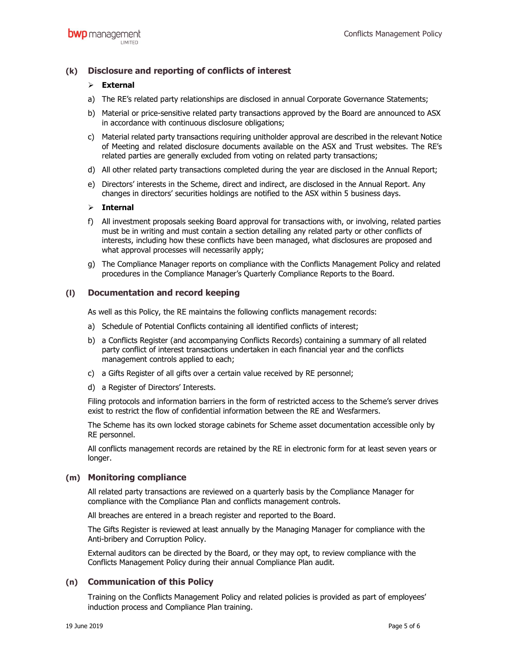# (k) Disclosure and reporting of conflicts of interest

# $\triangleright$  External

- a) The RE's related party relationships are disclosed in annual Corporate Governance Statements;
- b) Material or price-sensitive related party transactions approved by the Board are announced to ASX in accordance with continuous disclosure obligations;
- c) Material related party transactions requiring unitholder approval are described in the relevant Notice of Meeting and related disclosure documents available on the ASX and Trust websites. The RE's related parties are generally excluded from voting on related party transactions;
- d) All other related party transactions completed during the year are disclosed in the Annual Report;
- e) Directors' interests in the Scheme, direct and indirect, are disclosed in the Annual Report. Any changes in directors' securities holdings are notified to the ASX within 5 business days.

### $\triangleright$  Internal

- f) All investment proposals seeking Board approval for transactions with, or involving, related parties must be in writing and must contain a section detailing any related party or other conflicts of interests, including how these conflicts have been managed, what disclosures are proposed and what approval processes will necessarily apply;
- g) The Compliance Manager reports on compliance with the Conflicts Management Policy and related procedures in the Compliance Manager's Quarterly Compliance Reports to the Board.

# (l) Documentation and record keeping

As well as this Policy, the RE maintains the following conflicts management records:

- a) Schedule of Potential Conflicts containing all identified conflicts of interest;
- b) a Conflicts Register (and accompanying Conflicts Records) containing a summary of all related party conflict of interest transactions undertaken in each financial year and the conflicts management controls applied to each;
- c) a Gifts Register of all gifts over a certain value received by RE personnel;
- d) a Register of Directors' Interests.

Filing protocols and information barriers in the form of restricted access to the Scheme's server drives exist to restrict the flow of confidential information between the RE and Wesfarmers.

The Scheme has its own locked storage cabinets for Scheme asset documentation accessible only by RE personnel.

All conflicts management records are retained by the RE in electronic form for at least seven years or longer.

# (m) Monitoring compliance

All related party transactions are reviewed on a quarterly basis by the Compliance Manager for compliance with the Compliance Plan and conflicts management controls.

All breaches are entered in a breach register and reported to the Board.

The Gifts Register is reviewed at least annually by the Managing Manager for compliance with the Anti-bribery and Corruption Policy.

External auditors can be directed by the Board, or they may opt, to review compliance with the Conflicts Management Policy during their annual Compliance Plan audit.

# (n) Communication of this Policy

Training on the Conflicts Management Policy and related policies is provided as part of employees' induction process and Compliance Plan training.